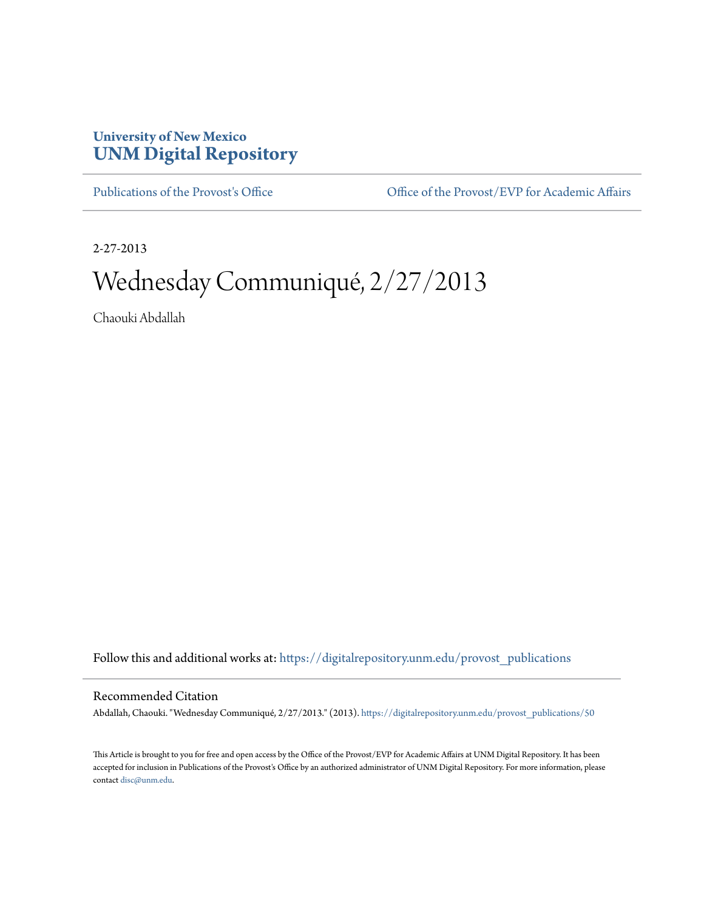## **University of New Mexico [UNM Digital Repository](https://digitalrepository.unm.edu?utm_source=digitalrepository.unm.edu%2Fprovost_publications%2F50&utm_medium=PDF&utm_campaign=PDFCoverPages)**

[Publications of the Provost's Office](https://digitalrepository.unm.edu/provost_publications?utm_source=digitalrepository.unm.edu%2Fprovost_publications%2F50&utm_medium=PDF&utm_campaign=PDFCoverPages) Office [Office of the Provost/EVP for Academic Affairs](https://digitalrepository.unm.edu/ofc_provost?utm_source=digitalrepository.unm.edu%2Fprovost_publications%2F50&utm_medium=PDF&utm_campaign=PDFCoverPages)

2-27-2013

# Wednesday Communiqué, 2/27/2013

Chaouki Abdallah

Follow this and additional works at: [https://digitalrepository.unm.edu/provost\\_publications](https://digitalrepository.unm.edu/provost_publications?utm_source=digitalrepository.unm.edu%2Fprovost_publications%2F50&utm_medium=PDF&utm_campaign=PDFCoverPages)

## Recommended Citation

Abdallah, Chaouki. "Wednesday Communiqué, 2/27/2013." (2013). [https://digitalrepository.unm.edu/provost\\_publications/50](https://digitalrepository.unm.edu/provost_publications/50?utm_source=digitalrepository.unm.edu%2Fprovost_publications%2F50&utm_medium=PDF&utm_campaign=PDFCoverPages)

This Article is brought to you for free and open access by the Office of the Provost/EVP for Academic Affairs at UNM Digital Repository. It has been accepted for inclusion in Publications of the Provost's Office by an authorized administrator of UNM Digital Repository. For more information, please contact [disc@unm.edu.](mailto:disc@unm.edu)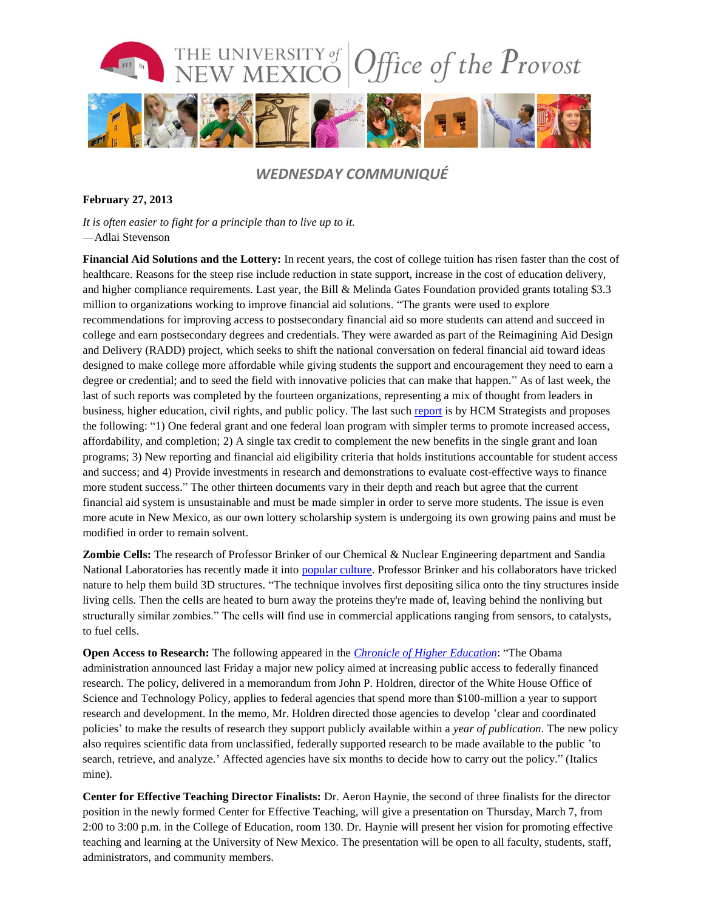

## *WEDNESDAY COMMUNIQUÉ*

### **February 27, 2013**

*It is often easier to fight for a principle than to live up to it.* —Adlai Stevenson

**Financial Aid Solutions and the Lottery:** In recent years, the cost of college tuition has risen faster than the cost of healthcare. Reasons for the steep rise include reduction in state support, increase in the cost of education delivery, and higher compliance requirements. Last year, the Bill & Melinda Gates Foundation provided grants totaling \$3.3 million to organizations working to improve financial aid solutions. "The grants were used to explore recommendations for improving access to postsecondary financial aid so more students can attend and succeed in college and earn postsecondary degrees and credentials. They were awarded as part of the Reimagining Aid Design and Delivery (RADD) project, which seeks to shift the national conversation on federal financial aid toward ideas designed to make college more affordable while giving students the support and encouragement they need to earn a degree or credential; and to seed the field with innovative policies that can make that happen." As of last week, the last of such reports was completed by the fourteen organizations, representing a mix of thought from leaders in business, higher education, civil rights, and public policy. The last suc[h report](http://hcmstrategists.com/content/Technical_report_fnl.pdf) is by HCM Strategists and proposes the following: "1) One federal grant and one federal loan program with simpler terms to promote increased access, affordability, and completion; 2) A single tax credit to complement the new benefits in the single grant and loan programs; 3) New reporting and financial aid eligibility criteria that holds institutions accountable for student access and success; and 4) Provide investments in research and demonstrations to evaluate cost-effective ways to finance more student success." The other thirteen documents vary in their depth and reach but agree that the current financial aid system is unsustainable and must be made simpler in order to serve more students. The issue is even more acute in New Mexico, as our own lottery scholarship system is undergoing its own growing pains and must be modified in order to remain solvent.

**Zombie Cells:** The research of Professor Brinker of our Chemical & Nuclear Engineering department and Sandia National Laboratories has recently made it into [popular culture.](http://www.huffingtonpost.com/2013/02/21/zombie-cells-sandia-national-labs-university-new-mexico_n_2730166.html.) Professor Brinker and his collaborators have tricked nature to help them build 3D structures. "The technique involves first depositing silica onto the tiny structures inside living cells. Then the cells are heated to burn away the proteins they're made of, leaving behind the nonliving but structurally similar zombies." The cells will find use in commercial applications ranging from sensors, to catalysts, to fuel cells.

**Open Access to Research:** The following appeared in the *[Chronicle of Higher Education](http://chronicle.com/article/White-House-Delivers-New/137549/)*: "The Obama administration announced last Friday a major new policy aimed at increasing public access to federally financed research. The policy, delivered in a memorandum from John P. Holdren, director of the White House Office of Science and Technology Policy, applies to federal agencies that spend more than \$100-million a year to support research and development. In the memo, Mr. Holdren directed those agencies to develop 'clear and coordinated policies' to make the results of research they support publicly available within a *year of publication*. The new policy also requires scientific data from unclassified, federally supported research to be made available to the public 'to search, retrieve, and analyze.' Affected agencies have six months to decide how to carry out the policy." (Italics mine).

**Center for Effective Teaching Director Finalists:** Dr. Aeron Haynie, the second of three finalists for the director position in the newly formed Center for Effective Teaching, will give a presentation on Thursday, March 7, from 2:00 to 3:00 p.m. in the College of Education, room 130. Dr. Haynie will present her vision for promoting effective teaching and learning at the University of New Mexico. The presentation will be open to all faculty, students, staff, administrators, and community members.